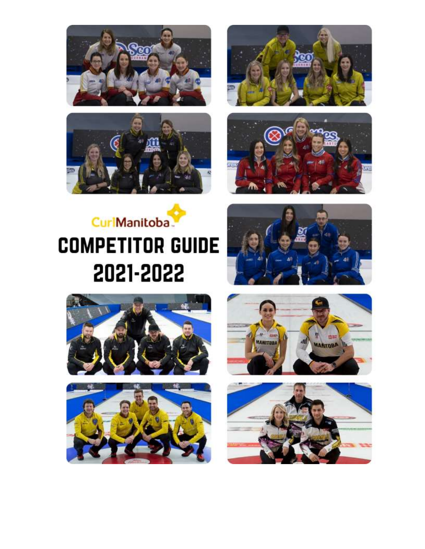







# CurlManitoba **COMPETITOR GUIDE** 2021-2022









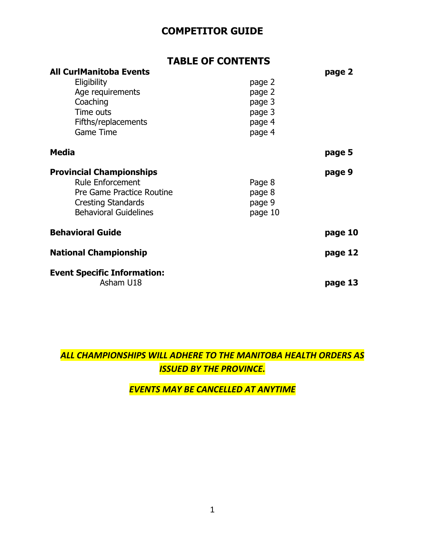# **COMPETITOR GUIDE**

|                                                                                                                                                      | <b>TABLE OF CONTENTS</b>                                 |         |
|------------------------------------------------------------------------------------------------------------------------------------------------------|----------------------------------------------------------|---------|
| <b>All CurlManitoba Events</b><br>Eligibility<br>Age requirements<br>Coaching<br>Time outs<br>Fifths/replacements<br><b>Game Time</b>                | page 2<br>page 2<br>page 3<br>page 3<br>page 4<br>page 4 | page 2  |
| <b>Media</b>                                                                                                                                         |                                                          | page 5  |
| <b>Provincial Championships</b><br><b>Rule Enforcement</b><br>Pre Game Practice Routine<br><b>Cresting Standards</b><br><b>Behavioral Guidelines</b> | Page 8<br>page 8<br>page 9<br>page 10                    | page 9  |
| <b>Behavioral Guide</b>                                                                                                                              |                                                          | page 10 |
| <b>National Championship</b>                                                                                                                         |                                                          | page 12 |
| <b>Event Specific Information:</b><br>Asham U18                                                                                                      |                                                          | page 13 |

# *ALL CHAMPIONSHIPS WILL ADHERE TO THE MANITOBA HEALTH ORDERS AS ISSUED BY THE PROVINCE.*

# *EVENTS MAY BE CANCELLED AT ANYTIME*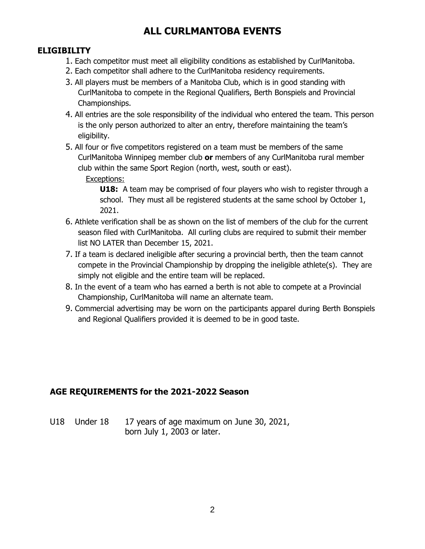# **ALL CURLMANTOBA EVENTS**

# **ELIGIBILITY**

- 1. Each competitor must meet all eligibility conditions as established by CurlManitoba.
- 2. Each competitor shall adhere to the CurlManitoba residency requirements.
- 3. All players must be members of a Manitoba Club, which is in good standing with CurlManitoba to compete in the Regional Qualifiers, Berth Bonspiels and Provincial Championships.
- 4. All entries are the sole responsibility of the individual who entered the team. This person is the only person authorized to alter an entry, therefore maintaining the team's eligibility.
- 5. All four or five competitors registered on a team must be members of the same CurlManitoba Winnipeg member club **or** members of any CurlManitoba rural member club within the same Sport Region (north, west, south or east).

Exceptions:

**U18:** A team may be comprised of four players who wish to register through a school. They must all be registered students at the same school by October 1, 2021.

- 6. Athlete verification shall be as shown on the list of members of the club for the current season filed with CurlManitoba. All curling clubs are required to submit their member list NO LATER than December 15, 2021.
- 7. If a team is declared ineligible after securing a provincial berth, then the team cannot compete in the Provincial Championship by dropping the ineligible athlete(s). They are simply not eligible and the entire team will be replaced.
- 8. In the event of a team who has earned a berth is not able to compete at a Provincial Championship, CurlManitoba will name an alternate team.
- 9. Commercial advertising may be worn on the participants apparel during Berth Bonspiels and Regional Qualifiers provided it is deemed to be in good taste.

# **AGE REQUIREMENTS for the 2021-2022 Season**

U18 Under 18 17 years of age maximum on June 30, 2021, born July 1, 2003 or later.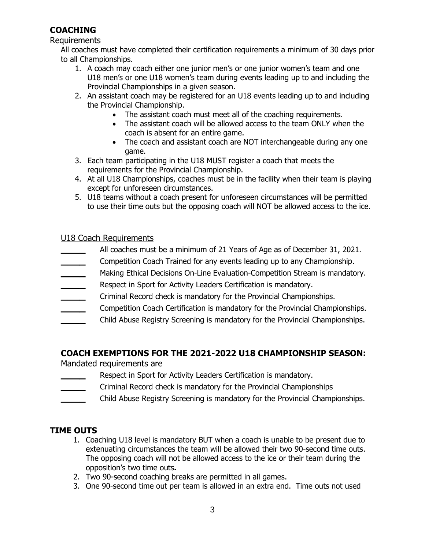# **COACHING**

#### Requirements

All coaches must have completed their certification requirements a minimum of 30 days prior to all Championships.

- 1. A coach may coach either one junior men's or one junior women's team and one U18 men's or one U18 women's team during events leading up to and including the Provincial Championships in a given season.
- 2. An assistant coach may be registered for an U18 events leading up to and including the Provincial Championship.
	- The assistant coach must meet all of the coaching requirements.
	- The assistant coach will be allowed access to the team ONLY when the coach is absent for an entire game.
	- The coach and assistant coach are NOT interchangeable during any one game.
- 3. Each team participating in the U18 MUST register a coach that meets the requirements for the Provincial Championship.
- 4. At all U18 Championships, coaches must be in the facility when their team is playing except for unforeseen circumstances.
- 5. U18 teams without a coach present for unforeseen circumstances will be permitted to use their time outs but the opposing coach will NOT be allowed access to the ice.

#### U18 Coach Requirements

- **\_\_\_\_** All coaches must be a minimum of 21 Years of Age as of December 31, 2021.
- **\_\_\_\_** Competition Coach Trained for any events leading up to any Championship.
- **\_\_\_\_\_\_** Making Ethical Decisions On-Line Evaluation-Competition Stream is mandatory.
- **\_\_\_\_** Respect in Sport for Activity Leaders Certification is mandatory.
- **\_\_\_\_** Criminal Record check is mandatory for the Provincial Championships.
- **\_\_\_\_** Competition Coach Certification is mandatory for the Provincial Championships.
- **\_\_\_\_** Child Abuse Registry Screening is mandatory for the Provincial Championships.

#### **COACH EXEMPTIONS FOR THE 2021-2022 U18 CHAMPIONSHIP SEASON:**

Mandated requirements are

- **\_\_\_\_** Respect in Sport for Activity Leaders Certification is mandatory.
- **\_\_\_\_** Criminal Record check is mandatory for the Provincial Championships
- **\_\_\_\_** Child Abuse Registry Screening is mandatory for the Provincial Championships.

#### **TIME OUTS**

- 1. Coaching U18 level is mandatory BUT when a coach is unable to be present due to extenuating circumstances the team will be allowed their two 90-second time outs. The opposing coach will not be allowed access to the ice or their team during the opposition's two time outs**.**
- 2. Two 90-second coaching breaks are permitted in all games.
- 3. One 90-second time out per team is allowed in an extra end. Time outs not used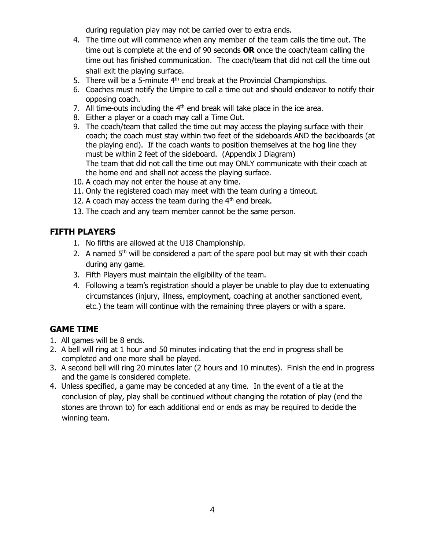during regulation play may not be carried over to extra ends.

- 4. The time out will commence when any member of the team calls the time out. The time out is complete at the end of 90 seconds **OR** once the coach/team calling the time out has finished communication. The coach/team that did not call the time out shall exit the playing surface.
- 5. There will be a 5-minute  $4<sup>th</sup>$  end break at the Provincial Championships.
- 6. Coaches must notify the Umpire to call a time out and should endeavor to notify their opposing coach.
- 7. All time-outs including the  $4<sup>th</sup>$  end break will take place in the ice area.
- 8. Either a player or a coach may call a Time Out.
- 9. The coach/team that called the time out may access the playing surface with their coach; the coach must stay within two feet of the sideboards AND the backboards (at the playing end). If the coach wants to position themselves at the hog line they must be within 2 feet of the sideboard. (Appendix J Diagram) The team that did not call the time out may ONLY communicate with their coach at the home end and shall not access the playing surface.
- 10. A coach may not enter the house at any time.
- 11. Only the registered coach may meet with the team during a timeout.
- 12. A coach may access the team during the  $4<sup>th</sup>$  end break.
- 13. The coach and any team member cannot be the same person.

# **FIFTH PLAYERS**

- 1. No fifths are allowed at the U18 Championship.
- 2. A named  $5<sup>th</sup>$  will be considered a part of the spare pool but may sit with their coach during any game.
- 3. Fifth Players must maintain the eligibility of the team.
- 4. Following a team's registration should a player be unable to play due to extenuating circumstances (injury, illness, employment, coaching at another sanctioned event, etc.) the team will continue with the remaining three players or with a spare.

# **GAME TIME**

- 1. All games will be 8 ends.
- 2. A bell will ring at 1 hour and 50 minutes indicating that the end in progress shall be completed and one more shall be played.
- 3. A second bell will ring 20 minutes later (2 hours and 10 minutes). Finish the end in progress and the game is considered complete.
- 4. Unless specified, a game may be conceded at any time. In the event of a tie at the conclusion of play, play shall be continued without changing the rotation of play (end the stones are thrown to) for each additional end or ends as may be required to decide the winning team.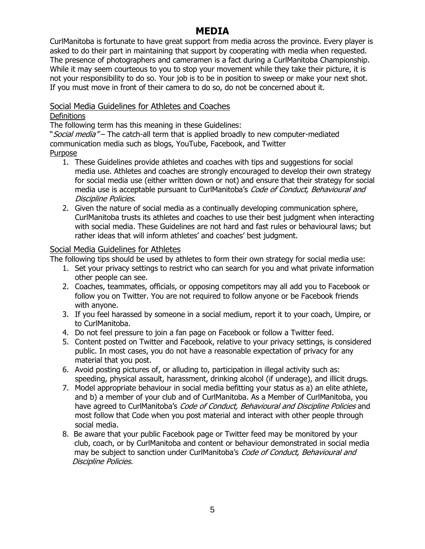# **MEDIA**

CurlManitoba is fortunate to have great support from media across the province. Every player is asked to do their part in maintaining that support by cooperating with media when requested. The presence of photographers and cameramen is a fact during a CurlManitoba Championship. While it may seem courteous to you to stop your movement while they take their picture, it is not your responsibility to do so. Your job is to be in position to sweep or make your next shot. If you must move in front of their camera to do so, do not be concerned about it.

#### Social Media Guidelines for Athletes and Coaches

#### **Definitions**

The following term has this meaning in these Guidelines:

"Social media" – The catch-all term that is applied broadly to new computer-mediated communication media such as blogs, YouTube, Facebook, and Twitter Purpose

- 1. These Guidelines provide athletes and coaches with tips and suggestions for social media use. Athletes and coaches are strongly encouraged to develop their own strategy for social media use (either written down or not) and ensure that their strategy for social media use is acceptable pursuant to CurlManitoba's Code of Conduct, Behavioural and Discipline Policies.
- 2. Given the nature of social media as a continually developing communication sphere, CurlManitoba trusts its athletes and coaches to use their best judgment when interacting with social media. These Guidelines are not hard and fast rules or behavioural laws; but rather ideas that will inform athletes' and coaches' best judgment.

#### Social Media Guidelines for Athletes

The following tips should be used by athletes to form their own strategy for social media use:

- 1. Set your privacy settings to restrict who can search for you and what private information other people can see.
- 2. Coaches, teammates, officials, or opposing competitors may all add you to Facebook or follow you on Twitter. You are not required to follow anyone or be Facebook friends with anyone.
- 3. If you feel harassed by someone in a social medium, report it to your coach, Umpire, or to CurlManitoba.
- 4. Do not feel pressure to join a fan page on Facebook or follow a Twitter feed.
- 5. Content posted on Twitter and Facebook, relative to your privacy settings, is considered public. In most cases, you do not have a reasonable expectation of privacy for any material that you post.
- 6. Avoid posting pictures of, or alluding to, participation in illegal activity such as: speeding, physical assault, harassment, drinking alcohol (if underage), and illicit drugs.
- 7. Model appropriate behaviour in social media befitting your status as a) an elite athlete, and b) a member of your club and of CurlManitoba. As a Member of CurlManitoba, you have agreed to CurlManitoba's *Code of Conduct, Behavioural and Discipline Policies* and most follow that Code when you post material and interact with other people through social media.
- 8. Be aware that your public Facebook page or Twitter feed may be monitored by your club, coach, or by CurlManitoba and content or behaviour demonstrated in social media may be subject to sanction under CurlManitoba's Code of Conduct, Behavioural and Discipline Policies.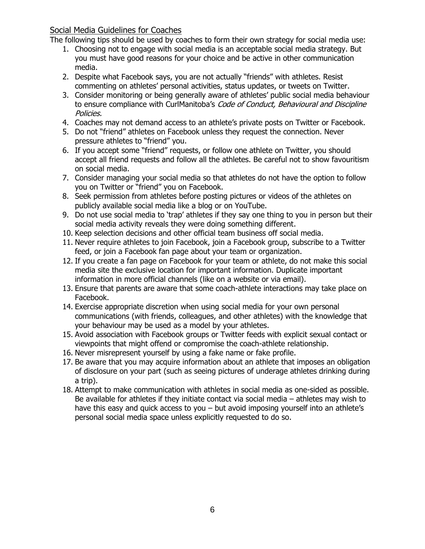#### Social Media Guidelines for Coaches

The following tips should be used by coaches to form their own strategy for social media use:

- 1. Choosing not to engage with social media is an acceptable social media strategy. But you must have good reasons for your choice and be active in other communication media.
- 2. Despite what Facebook says, you are not actually "friends" with athletes. Resist commenting on athletes' personal activities, status updates, or tweets on Twitter.
- 3. Consider monitoring or being generally aware of athletes' public social media behaviour to ensure compliance with CurlManitoba's *Code of Conduct, Behavioural and Discipline* Policies.
- 4. Coaches may not demand access to an athlete's private posts on Twitter or Facebook.
- 5. Do not "friend" athletes on Facebook unless they request the connection. Never pressure athletes to "friend" you.
- 6. If you accept some "friend" requests, or follow one athlete on Twitter, you should accept all friend requests and follow all the athletes. Be careful not to show favouritism on social media.
- 7. Consider managing your social media so that athletes do not have the option to follow you on Twitter or "friend" you on Facebook.
- 8. Seek permission from athletes before posting pictures or videos of the athletes on publicly available social media like a blog or on YouTube.
- 9. Do not use social media to 'trap' athletes if they say one thing to you in person but their social media activity reveals they were doing something different.
- 10. Keep selection decisions and other official team business off social media.
- 11. Never require athletes to join Facebook, join a Facebook group, subscribe to a Twitter feed, or join a Facebook fan page about your team or organization.
- 12. If you create a fan page on Facebook for your team or athlete, do not make this social media site the exclusive location for important information. Duplicate important information in more official channels (like on a website or via email).
- 13. Ensure that parents are aware that some coach-athlete interactions may take place on Facebook.
- 14. Exercise appropriate discretion when using social media for your own personal communications (with friends, colleagues, and other athletes) with the knowledge that your behaviour may be used as a model by your athletes.
- 15. Avoid association with Facebook groups or Twitter feeds with explicit sexual contact or viewpoints that might offend or compromise the coach-athlete relationship.
- 16. Never misrepresent yourself by using a fake name or fake profile.
- 17. Be aware that you may acquire information about an athlete that imposes an obligation of disclosure on your part (such as seeing pictures of underage athletes drinking during a trip).
- 18. Attempt to make communication with athletes in social media as one-sided as possible. Be available for athletes if they initiate contact via social media – athletes may wish to have this easy and quick access to you – but avoid imposing yourself into an athlete's personal social media space unless explicitly requested to do so.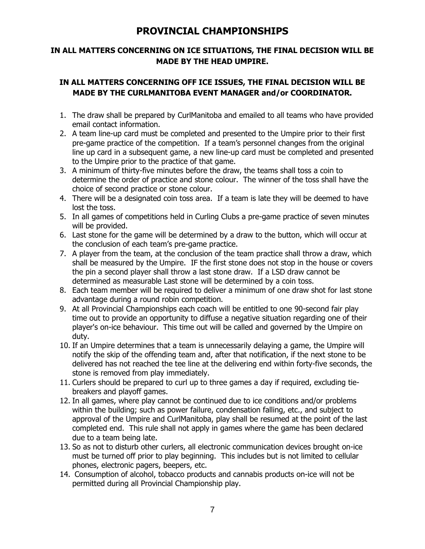# **PROVINCIAL CHAMPIONSHIPS**

#### **IN ALL MATTERS CONCERNING ON ICE SITUATIONS, THE FINAL DECISION WILL BE MADE BY THE HEAD UMPIRE.**

#### **IN ALL MATTERS CONCERNING OFF ICE ISSUES, THE FINAL DECISION WILL BE MADE BY THE CURLMANITOBA EVENT MANAGER and/or COORDINATOR.**

- 1. The draw shall be prepared by CurlManitoba and emailed to all teams who have provided email contact information.
- 2. A team line-up card must be completed and presented to the Umpire prior to their first pre-game practice of the competition. If a team's personnel changes from the original line up card in a subsequent game, a new line-up card must be completed and presented to the Umpire prior to the practice of that game.
- 3. A minimum of thirty-five minutes before the draw, the teams shall toss a coin to determine the order of practice and stone colour. The winner of the toss shall have the choice of second practice or stone colour.
- 4. There will be a designated coin toss area. If a team is late they will be deemed to have lost the toss.
- 5. In all games of competitions held in Curling Clubs a pre-game practice of seven minutes will be provided.
- 6. Last stone for the game will be determined by a draw to the button, which will occur at the conclusion of each team's pre-game practice.
- 7. A player from the team, at the conclusion of the team practice shall throw a draw, which shall be measured by the Umpire. IF the first stone does not stop in the house or covers the pin a second player shall throw a last stone draw. If a LSD draw cannot be determined as measurable Last stone will be determined by a coin toss.
- 8. Each team member will be required to deliver a minimum of one draw shot for last stone advantage during a round robin competition.
- 9. At all Provincial Championships each coach will be entitled to one 90-second fair play time out to provide an opportunity to diffuse a negative situation regarding one of their player's on-ice behaviour.This time out will be called and governed by the Umpire on duty.
- 10. If an Umpire determines that a team is unnecessarily delaying a game, the Umpire will notify the skip of the offending team and, after that notification, if the next stone to be delivered has not reached the tee line at the delivering end within forty-five seconds, the stone is removed from play immediately.
- 11. Curlers should be prepared to curl up to three games a day if required, excluding tiebreakers and playoff games.
- 12. In all games, where play cannot be continued due to ice conditions and/or problems within the building; such as power failure, condensation falling, etc., and subject to approval of the Umpire and CurlManitoba, play shall be resumed at the point of the last completed end. This rule shall not apply in games where the game has been declared due to a team being late.
- 13. So as not to disturb other curlers, all electronic communication devices brought on-ice must be turned off prior to play beginning. This includes but is not limited to cellular phones, electronic pagers, beepers, etc.
- 14. Consumption of alcohol, tobacco products and cannabis products on-ice will not be permitted during all Provincial Championship play.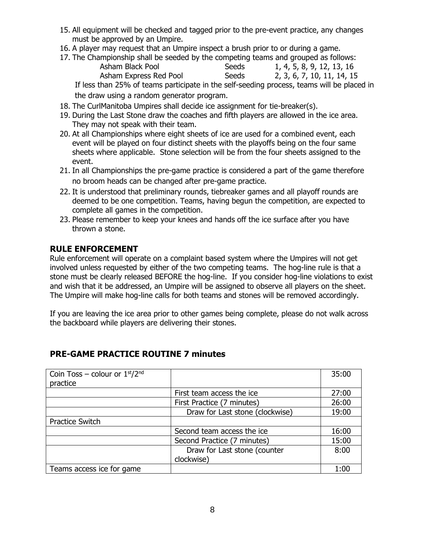- 15. All equipment will be checked and tagged prior to the pre-event practice, any changes must be approved by an Umpire.
- 16. A player may request that an Umpire inspect a brush prior to or during a game.
- 17. The Championship shall be seeded by the competing teams and grouped as follows:

| Asham Black Pool                                                                           | Seeds | 1, 4, 5, 8, 9, 12, 13, 16  |
|--------------------------------------------------------------------------------------------|-------|----------------------------|
| Asham Express Red Pool                                                                     | Seeds | 2, 3, 6, 7, 10, 11, 14, 15 |
| If less than 25% of teams participate in the self-seeding process, teams will be placed in |       |                            |

the draw using a random generator program.

- 18. The CurlManitoba Umpires shall decide ice assignment for tie-breaker(s).
- 19. During the Last Stone draw the coaches and fifth players are allowed in the ice area. They may not speak with their team.
- 20. At all Championships where eight sheets of ice are used for a combined event, each event will be played on four distinct sheets with the playoffs being on the four same sheets where applicable. Stone selection will be from the four sheets assigned to the event.
- 21. In all Championships the pre-game practice is considered a part of the game therefore no broom heads can be changed after pre-game practice.
- 22. It is understood that preliminary rounds, tiebreaker games and all playoff rounds are deemed to be one competition. Teams, having begun the competition, are expected to complete all games in the competition.
- 23. Please remember to keep your knees and hands off the ice surface after you have thrown a stone.

#### **RULE ENFORCEMENT**

Rule enforcement will operate on a complaint based system where the Umpires will not get involved unless requested by either of the two competing teams. The hog-line rule is that a stone must be clearly released BEFORE the hog-line. If you consider hog-line violations to exist and wish that it be addressed, an Umpire will be assigned to observe all players on the sheet. The Umpire will make hog-line calls for both teams and stones will be removed accordingly.

If you are leaving the ice area prior to other games being complete, please do not walk across the backboard while players are delivering their stones.

| Coin Toss – colour or $1st/2nd$ |                                 | 35:00 |
|---------------------------------|---------------------------------|-------|
| practice                        |                                 |       |
|                                 | First team access the ice       | 27:00 |
|                                 | First Practice (7 minutes)      | 26:00 |
|                                 | Draw for Last stone (clockwise) | 19:00 |
| <b>Practice Switch</b>          |                                 |       |
|                                 | Second team access the ice      | 16:00 |
|                                 | Second Practice (7 minutes)     | 15:00 |
|                                 | Draw for Last stone (counter    | 8:00  |
|                                 | clockwise)                      |       |
| Teams access ice for game       |                                 | 1:00  |

#### **PRE-GAME PRACTICE ROUTINE 7 minutes**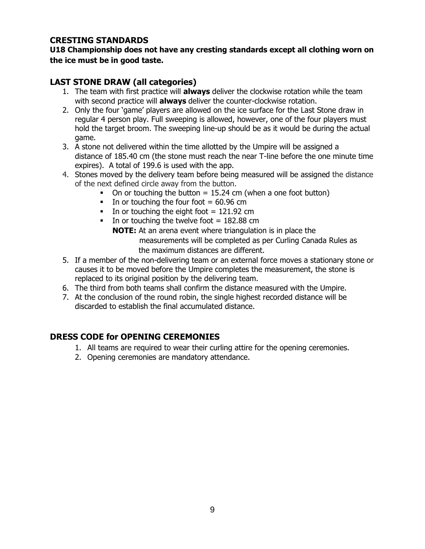#### **CRESTING STANDARDS**

**U18 Championship does not have any cresting standards except all clothing worn on the ice must be in good taste.**

#### **LAST STONE DRAW (all categories)**

- 1. The team with first practice will **always** deliver the clockwise rotation while the team with second practice will **always** deliver the counter-clockwise rotation.
- 2. Only the four 'game' players are allowed on the ice surface for the Last Stone draw in regular 4 person play. Full sweeping is allowed, however, one of the four players must hold the target broom. The sweeping line-up should be as it would be during the actual game.
- 3. A stone not delivered within the time allotted by the Umpire will be assigned a distance of 185.40 cm (the stone must reach the near T-line before the one minute time expires). A total of 199.6 is used with the app.
- 4. Stones moved by the delivery team before being measured will be assigned the distance of the next defined circle away from the button.
	- $\blacksquare$  On or touching the button  $= 15.24$  cm (when a one foot button)
	- In or touching the four foot  $= 60.96$  cm
	- In or touching the eight foot  $= 121.92$  cm
	- In or touching the twelve foot  $= 182.88$  cm **NOTE:** At an arena event where triangulation is in place the measurements will be completed as per Curling Canada Rules as the maximum distances are different.
- 5. If a member of the non-delivering team or an external force moves a stationary stone or causes it to be moved before the Umpire completes the measurement, the stone is replaced to its original position by the delivering team.
- 6. The third from both teams shall confirm the distance measured with the Umpire.
- 7. At the conclusion of the round robin, the single highest recorded distance will be discarded to establish the final accumulated distance.

# **DRESS CODE for OPENING CEREMONIES**

- 1. All teams are required to wear their curling attire for the opening ceremonies.
- 2. Opening ceremonies are mandatory attendance.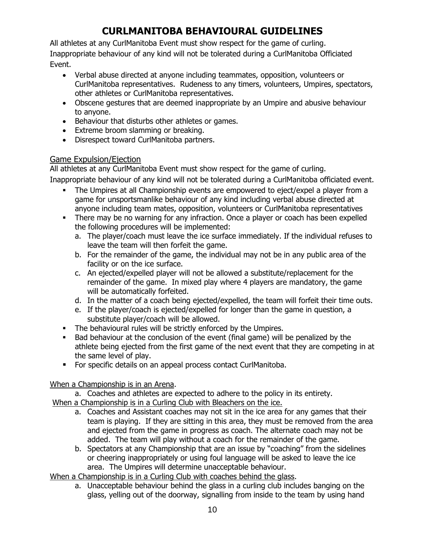# **CURLMANITOBA BEHAVIOURAL GUIDELINES**

All athletes at any CurlManitoba Event must show respect for the game of curling. Inappropriate behaviour of any kind will not be tolerated during a CurlManitoba Officiated Event.

- Verbal abuse directed at anyone including teammates, opposition, volunteers or CurlManitoba representatives. Rudeness to any timers, volunteers, Umpires, spectators, other athletes or CurlManitoba representatives.
- Obscene gestures that are deemed inappropriate by an Umpire and abusive behaviour to anyone.
- Behaviour that disturbs other athletes or games.
- Extreme broom slamming or breaking.
- Disrespect toward CurlManitoba partners.

#### Game Expulsion/Ejection

All athletes at any CurlManitoba Event must show respect for the game of curling.

Inappropriate behaviour of any kind will not be tolerated during a CurlManitoba officiated event.

- The Umpires at all Championship events are empowered to eject/expel a player from a game for unsportsmanlike behaviour of any kind including verbal abuse directed at anyone including team mates, opposition, volunteers or CurlManitoba representatives
- There may be no warning for any infraction. Once a player or coach has been expelled the following procedures will be implemented:
	- a. The player/coach must leave the ice surface immediately. If the individual refuses to leave the team will then forfeit the game.
	- b. For the remainder of the game, the individual may not be in any public area of the facility or on the ice surface.
	- c. An ejected/expelled player will not be allowed a substitute/replacement for the remainder of the game. In mixed play where 4 players are mandatory, the game will be automatically forfeited.
	- d. In the matter of a coach being ejected/expelled, the team will forfeit their time outs.
	- e. If the player/coach is ejected/expelled for longer than the game in question, a substitute player/coach will be allowed.
- The behavioural rules will be strictly enforced by the Umpires.
- Bad behaviour at the conclusion of the event (final game) will be penalized by the athlete being ejected from the first game of the next event that they are competing in at the same level of play.
- For specific details on an appeal process contact CurlManitoba.

# When a Championship is in an Arena.

a. Coaches and athletes are expected to adhere to the policy in its entirety.

When a Championship is in a Curling Club with Bleachers on the ice.

- a. Coaches and Assistant coaches may not sit in the ice area for any games that their team is playing. If they are sitting in this area, they must be removed from the area and ejected from the game in progress as coach. The alternate coach may not be added. The team will play without a coach for the remainder of the game.
- b. Spectators at any Championship that are an issue by "coaching" from the sidelines or cheering inappropriately or using foul language will be asked to leave the ice area. The Umpires will determine unacceptable behaviour.

When a Championship is in a Curling Club with coaches behind the glass.

a. Unacceptable behaviour behind the glass in a curling club includes banging on the glass, yelling out of the doorway, signalling from inside to the team by using hand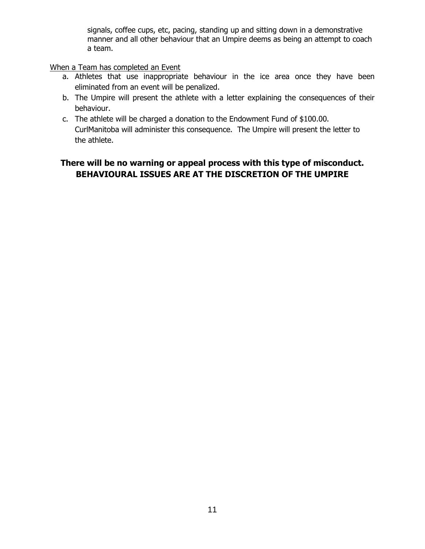signals, coffee cups, etc, pacing, standing up and sitting down in a demonstrative manner and all other behaviour that an Umpire deems as being an attempt to coach a team.

When a Team has completed an Event

- a. Athletes that use inappropriate behaviour in the ice area once they have been eliminated from an event will be penalized.
- b. The Umpire will present the athlete with a letter explaining the consequences of their behaviour.
- c. The athlete will be charged a donation to the Endowment Fund of \$100.00. CurlManitoba will administer this consequence. The Umpire will present the letter to the athlete.

# **There will be no warning or appeal process with this type of misconduct. BEHAVIOURAL ISSUES ARE AT THE DISCRETION OF THE UMPIRE**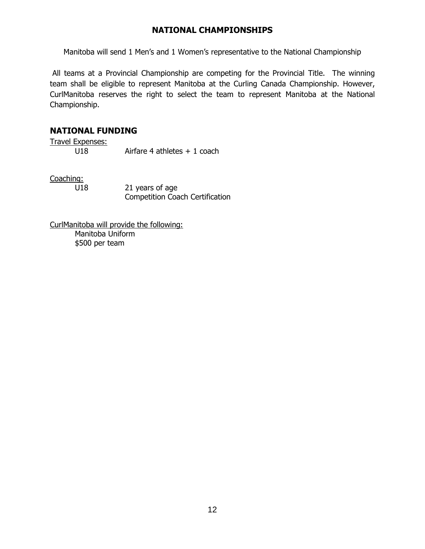#### **NATIONAL CHAMPIONSHIPS**

Manitoba will send 1 Men's and 1 Women's representative to the National Championship

All teams at a Provincial Championship are competing for the Provincial Title. The winning team shall be eligible to represent Manitoba at the Curling Canada Championship. However, CurlManitoba reserves the right to select the team to represent Manitoba at the National Championship.

#### **NATIONAL FUNDING**

Travel Expenses: U18 Airfare 4 athletes + 1 coach

Coaching:

U18 21 years of age Competition Coach Certification

CurlManitoba will provide the following: Manitoba Uniform \$500 per team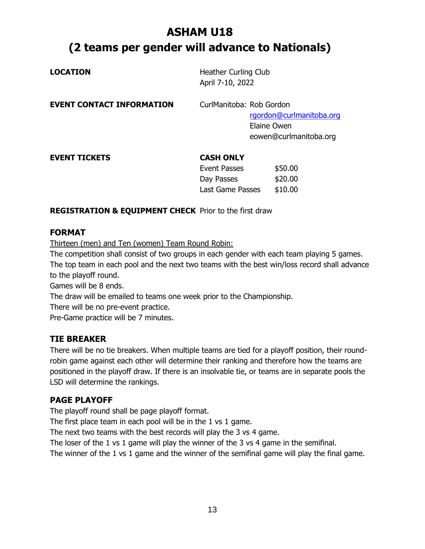# **ASHAM U18 (2 teams per gender will advance to Nationals)**

| <b>LOCATION</b>                  | Heather Curling Club<br>April 7-10, 2022                           |                                                                   |
|----------------------------------|--------------------------------------------------------------------|-------------------------------------------------------------------|
| <b>EVENT CONTACT INFORMATION</b> | CurlManitoba: Rob Gordon                                           | rgordon@curlmanitoba.org<br>Elaine Owen<br>eowen@curlmanitoba.org |
| <b>EVENT TICKETS</b>             | <b>CASH ONLY</b><br>Event Passes<br>Day Passes<br>Last Game Passes | \$50.00<br>\$20.00<br>\$10.00                                     |

**REGISTRATION & EQUIPMENT CHECK** Prior to the first draw

#### **FORMAT**

Thirteen (men) and Ten (women) Team Round Robin:

The competition shall consist of two groups in each gender with each team playing 5 games. The top team in each pool and the next two teams with the best win/loss record shall advance to the playoff round.

Games will be 8 ends.

The draw will be emailed to teams one week prior to the Championship.

There will be no pre-event practice.

Pre-Game practice will be 7 minutes.

# **TIE BREAKER**

There will be no tie breakers. When multiple teams are tied for a playoff position, their roundrobin game against each other will determine their ranking and therefore how the teams are positioned in the playoff draw. If there is an insolvable tie, or teams are in separate pools the LSD will determine the rankings.

# **PAGE PLAYOFF**

The playoff round shall be page playoff format.

The first place team in each pool will be in the 1 vs 1 game.

The next two teams with the best records will play the 3 vs 4 game.

The loser of the 1 vs 1 game will play the winner of the 3 vs 4 game in the semifinal.

The winner of the 1 vs 1 game and the winner of the semifinal game will play the final game.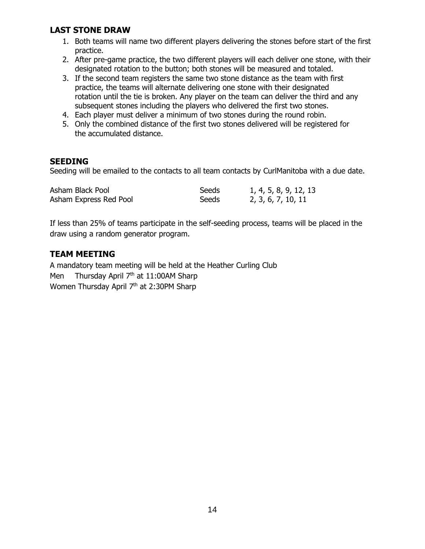#### **LAST STONE DRAW**

- 1. Both teams will name two different players delivering the stones before start of the first practice.
- 2. After pre-game practice, the two different players will each deliver one stone, with their designated rotation to the button; both stones will be measured and totaled.
- 3. If the second team registers the same two stone distance as the team with first practice, the teams will alternate delivering one stone with their designated rotation until the tie is broken. Any player on the team can deliver the third and any subsequent stones including the players who delivered the first two stones.
- 4. Each player must deliver a minimum of two stones during the round robin.
- 5. Only the combined distance of the first two stones delivered will be registered for the accumulated distance.

#### **SEEDING**

Seeding will be emailed to the contacts to all team contacts by CurlManitoba with a due date.

| Asham Black Pool       | Seeds | 1, 4, 5, 8, 9, 12, 13 |
|------------------------|-------|-----------------------|
| Asham Express Red Pool | Seeds | 2, 3, 6, 7, 10, 11    |

If less than 25% of teams participate in the self-seeding process, teams will be placed in the draw using a random generator program.

#### **TEAM MEETING**

A mandatory team meeting will be held at the Heather Curling Club Men Thursday April  $7<sup>th</sup>$  at 11:00AM Sharp Women Thursday April 7<sup>th</sup> at 2:30PM Sharp